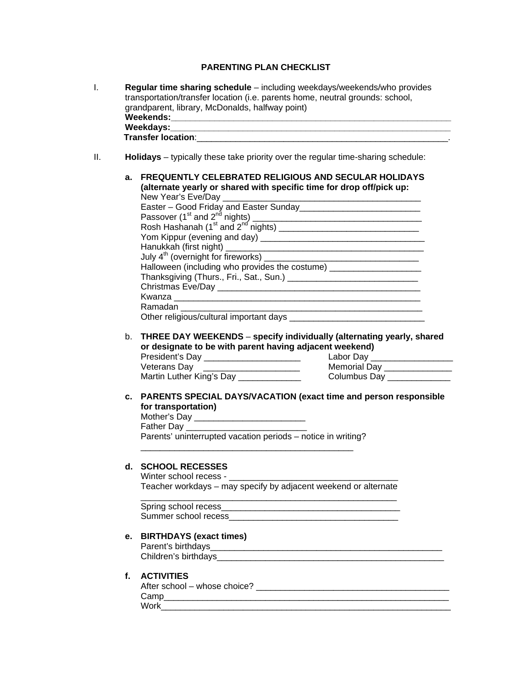# **PARENTING PLAN CHECKLIST**

| L.  | Regular time sharing schedule - including weekdays/weekends/who provides<br>transportation/transfer location (i.e. parents home, neutral grounds: school,<br>grandparent, library, McDonalds, halfway point)                                                                                                                                           |
|-----|--------------------------------------------------------------------------------------------------------------------------------------------------------------------------------------------------------------------------------------------------------------------------------------------------------------------------------------------------------|
|     | Weekdays: Management of the Management of the Meekdays: Management of the Management of the Meeting of the Meet<br><b>Transfer location:</b> the control of the control of the control of the control of the control of the control of the control of the control of the control of the control of the control of the control of the control of the co |
|     |                                                                                                                                                                                                                                                                                                                                                        |
| II. | Holidays – typically these take priority over the regular time-sharing schedule:                                                                                                                                                                                                                                                                       |
|     | <b>FREQUENTLY CELEBRATED RELIGIOUS AND SECULAR HOLIDAYS</b><br>a.<br>(alternate yearly or shared with specific time for drop off/pick up:                                                                                                                                                                                                              |
|     |                                                                                                                                                                                                                                                                                                                                                        |
|     |                                                                                                                                                                                                                                                                                                                                                        |
|     |                                                                                                                                                                                                                                                                                                                                                        |
|     |                                                                                                                                                                                                                                                                                                                                                        |
|     |                                                                                                                                                                                                                                                                                                                                                        |
|     |                                                                                                                                                                                                                                                                                                                                                        |
|     | Halloween (including who provides the costume) _______________________                                                                                                                                                                                                                                                                                 |
|     |                                                                                                                                                                                                                                                                                                                                                        |
|     |                                                                                                                                                                                                                                                                                                                                                        |
|     |                                                                                                                                                                                                                                                                                                                                                        |
|     | Other religious/cultural important days                                                                                                                                                                                                                                                                                                                |
|     |                                                                                                                                                                                                                                                                                                                                                        |
|     | THREE DAY WEEKENDS - specify individually (alternating yearly, shared<br>b.<br>or designate to be with parent having adjacent weekend)                                                                                                                                                                                                                 |
|     | Veterans Day ______                                                                                                                                                                                                                                                                                                                                    |
|     |                                                                                                                                                                                                                                                                                                                                                        |
|     |                                                                                                                                                                                                                                                                                                                                                        |
|     | c. PARENTS SPECIAL DAYS/VACATION (exact time and person responsible<br>for transportation)                                                                                                                                                                                                                                                             |
|     |                                                                                                                                                                                                                                                                                                                                                        |
|     |                                                                                                                                                                                                                                                                                                                                                        |
|     | Parents' uninterrupted vacation periods - notice in writing?                                                                                                                                                                                                                                                                                           |
|     | d. SCHOOL RECESSES                                                                                                                                                                                                                                                                                                                                     |
|     |                                                                                                                                                                                                                                                                                                                                                        |
|     | Teacher workdays - may specify by adjacent weekend or alternate                                                                                                                                                                                                                                                                                        |
|     |                                                                                                                                                                                                                                                                                                                                                        |
|     |                                                                                                                                                                                                                                                                                                                                                        |
|     | е.                                                                                                                                                                                                                                                                                                                                                     |
|     | <b>BIRTHDAYS (exact times)</b>                                                                                                                                                                                                                                                                                                                         |
|     |                                                                                                                                                                                                                                                                                                                                                        |
|     |                                                                                                                                                                                                                                                                                                                                                        |
|     | <b>ACTIVITIES</b><br>f.                                                                                                                                                                                                                                                                                                                                |
|     |                                                                                                                                                                                                                                                                                                                                                        |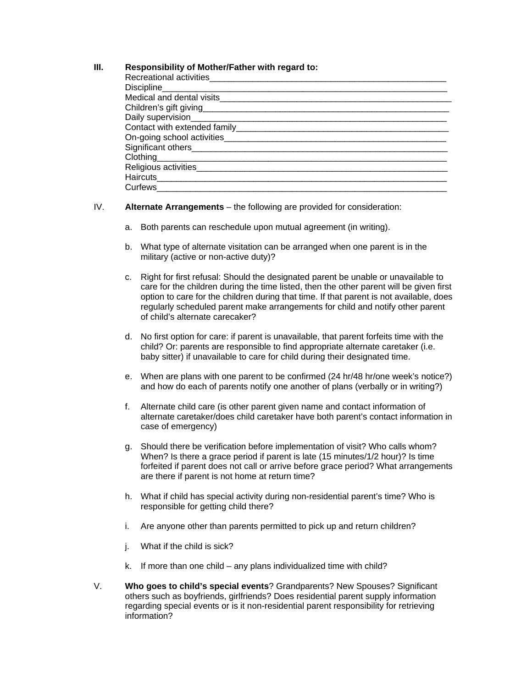## **III. Responsibility of Mother/Father with regard to:**

| Recreational activities________________                                                                                                                                                                                              |
|--------------------------------------------------------------------------------------------------------------------------------------------------------------------------------------------------------------------------------------|
|                                                                                                                                                                                                                                      |
|                                                                                                                                                                                                                                      |
|                                                                                                                                                                                                                                      |
|                                                                                                                                                                                                                                      |
|                                                                                                                                                                                                                                      |
| On-going school activities <b>contained a set of the set of the set of the set of the set of the set of the set of the set of the set of the set of the set of the set of the set of the set of the set of the set of the set of</b> |
|                                                                                                                                                                                                                                      |
|                                                                                                                                                                                                                                      |
| Religious activities                                                                                                                                                                                                                 |
|                                                                                                                                                                                                                                      |
| Curfews__________                                                                                                                                                                                                                    |

#### IV. **Alternate Arrangements** – the following are provided for consideration:

- a. Both parents can reschedule upon mutual agreement (in writing).
- b. What type of alternate visitation can be arranged when one parent is in the military (active or non-active duty)?
- c. Right for first refusal: Should the designated parent be unable or unavailable to care for the children during the time listed, then the other parent will be given first option to care for the children during that time. If that parent is not available, does regularly scheduled parent make arrangements for child and notify other parent of child's alternate carecaker?
- d. No first option for care: if parent is unavailable, that parent forfeits time with the child? Or: parents are responsible to find appropriate alternate caretaker (i.e. baby sitter) if unavailable to care for child during their designated time.
- e. When are plans with one parent to be confirmed (24 hr/48 hr/one week's notice?) and how do each of parents notify one another of plans (verbally or in writing?)
- f. Alternate child care (is other parent given name and contact information of alternate caretaker/does child caretaker have both parent's contact information in case of emergency)
- g. Should there be verification before implementation of visit? Who calls whom? When? Is there a grace period if parent is late (15 minutes/1/2 hour)? Is time forfeited if parent does not call or arrive before grace period? What arrangements are there if parent is not home at return time?
- h. What if child has special activity during non-residential parent's time? Who is responsible for getting child there?
- i. Are anyone other than parents permitted to pick up and return children?
- j. What if the child is sick?
- k. If more than one child any plans individualized time with child?
- V. **Who goes to child's special events**? Grandparents? New Spouses? Significant others such as boyfriends, girlfriends? Does residential parent supply information regarding special events or is it non-residential parent responsibility for retrieving information?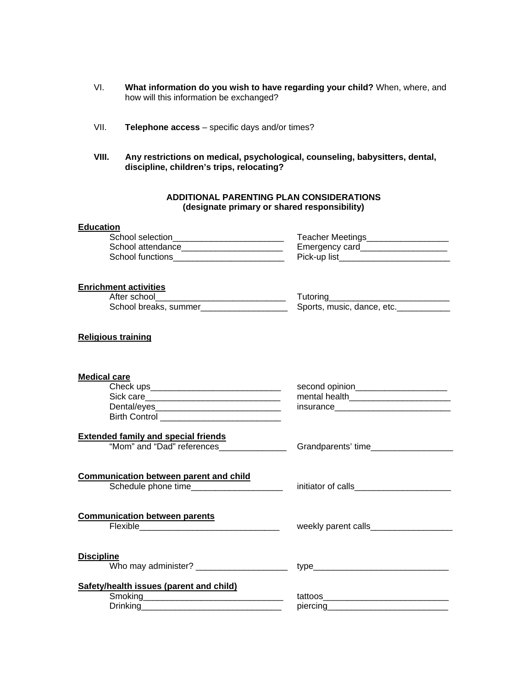- VI. **What information do you wish to have regarding your child?** When, where, and how will this information be exchanged?
- VII. **Telephone access** specific days and/or times?
- **VIII. Any restrictions on medical, psychological, counseling, babysitters, dental, discipline, children's trips, relocating?**

### **ADDITIONAL PARENTING PLAN CONSIDERATIONS (designate primary or shared responsibility)**

#### **Education**

| School selection  | Teacher Meetings |
|-------------------|------------------|
| School attendance | Emergency card   |
| School functions  | Pick-up list     |

### **Enrichment activities**

| After school          | Futorina                   |
|-----------------------|----------------------------|
| School breaks, summer | Sports, music, dance, etc. |

## **Religious training**

| <b>Medical care</b><br>Birth Control _____________________________       | second opinion______________________<br>insurance_________________________________ |
|--------------------------------------------------------------------------|------------------------------------------------------------------------------------|
| <b>Extended family and special friends</b><br>"Mom" and "Dad" references | Grandparents' time                                                                 |
| <b>Communication between parent and child</b>                            |                                                                                    |
| <b>Communication between parents</b>                                     | weekly parent calls_____________                                                   |
| <b>Discipline</b><br>Who may administer? ______________________          |                                                                                    |
| Safety/health issues (parent and child)                                  | piercing <u>__________________________________</u>                                 |